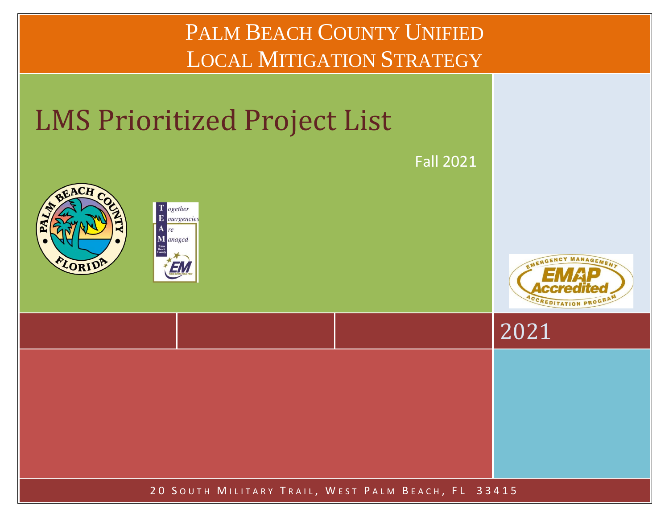

20 SOUTH MILITARY TRAIL, WEST PALM BEACH, FL 33415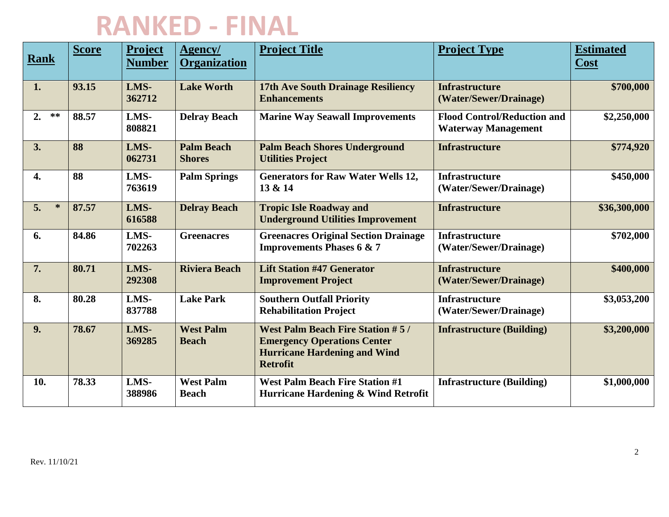| Rank             | <b>Score</b> | <b>Project</b><br><b>Number</b> | Agency/<br><b>Organization</b>     | <b>Project Title</b>                                                                                                                    | <b>Project Type</b>                                              | <b>Estimated</b><br>Cost |
|------------------|--------------|---------------------------------|------------------------------------|-----------------------------------------------------------------------------------------------------------------------------------------|------------------------------------------------------------------|--------------------------|
| 1.               | 93.15        | LMS-<br>362712                  | <b>Lake Worth</b>                  | <b>17th Ave South Drainage Resiliency</b><br><b>Enhancements</b>                                                                        | <b>Infrastructure</b><br>(Water/Sewer/Drainage)                  | \$700,000                |
| $**$<br>2.       | 88.57        | LMS-<br>808821                  | <b>Delray Beach</b>                | <b>Marine Way Seawall Improvements</b>                                                                                                  | <b>Flood Control/Reduction and</b><br><b>Waterway Management</b> | \$2,250,000              |
| 3.               | 88           | LMS-<br>062731                  | <b>Palm Beach</b><br><b>Shores</b> | <b>Palm Beach Shores Underground</b><br><b>Utilities Project</b>                                                                        | <b>Infrastructure</b>                                            | \$774,920                |
| $\overline{4}$ . | 88           | LMS-<br>763619                  | <b>Palm Springs</b>                | <b>Generators for Raw Water Wells 12,</b><br>13 & 14                                                                                    | <b>Infrastructure</b><br>(Water/Sewer/Drainage)                  | \$450,000                |
| 5.<br>$\ast$     | 87.57        | LMS-<br>616588                  | <b>Delray Beach</b>                | <b>Tropic Isle Roadway and</b><br><b>Underground Utilities Improvement</b>                                                              | <b>Infrastructure</b>                                            | \$36,300,000             |
| 6.               | 84.86        | LMS-<br>702263                  | <b>Greenacres</b>                  | <b>Greenacres Original Section Drainage</b><br><b>Improvements Phases 6 &amp; 7</b>                                                     | <b>Infrastructure</b><br>(Water/Sewer/Drainage)                  | \$702,000                |
| 7.               | 80.71        | LMS-<br>292308                  | <b>Riviera Beach</b>               | <b>Lift Station #47 Generator</b><br><b>Improvement Project</b>                                                                         | <b>Infrastructure</b><br>(Water/Sewer/Drainage)                  | \$400,000                |
| 8.               | 80.28        | LMS-<br>837788                  | <b>Lake Park</b>                   | <b>Southern Outfall Priority</b><br><b>Rehabilitation Project</b>                                                                       | <b>Infrastructure</b><br>(Water/Sewer/Drainage)                  | \$3,053,200              |
| 9.               | 78.67        | LMS-<br>369285                  | <b>West Palm</b><br><b>Beach</b>   | <b>West Palm Beach Fire Station #5/</b><br><b>Emergency Operations Center</b><br><b>Hurricane Hardening and Wind</b><br><b>Retrofit</b> | <b>Infrastructure (Building)</b>                                 | \$3,200,000              |
| 10.              | 78.33        | LMS-<br>388986                  | <b>West Palm</b><br><b>Beach</b>   | <b>West Palm Beach Fire Station #1</b><br>Hurricane Hardening & Wind Retrofit                                                           | <b>Infrastructure (Building)</b>                                 | \$1,000,000              |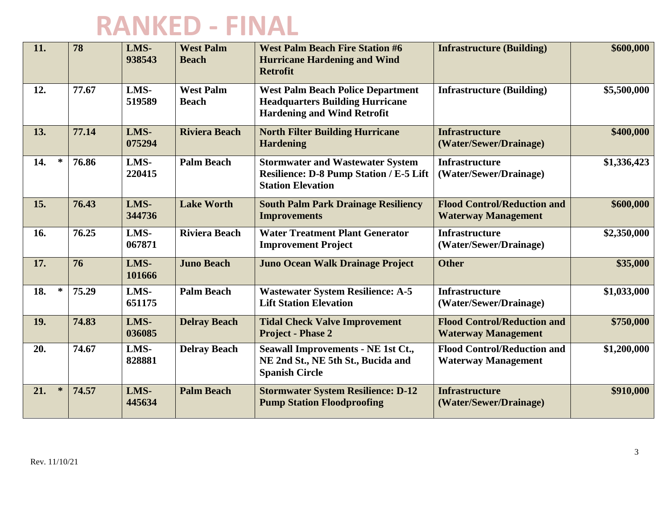| 11.           | 78    | LMS-<br>938543 | <b>West Palm</b><br><b>Beach</b> | <b>West Palm Beach Fire Station #6</b><br><b>Hurricane Hardening and Wind</b><br><b>Retrofit</b>                         | <b>Infrastructure (Building)</b>                                 | \$600,000   |
|---------------|-------|----------------|----------------------------------|--------------------------------------------------------------------------------------------------------------------------|------------------------------------------------------------------|-------------|
| 12.           | 77.67 | LMS-<br>519589 | <b>West Palm</b><br><b>Beach</b> | <b>West Palm Beach Police Department</b><br><b>Headquarters Building Hurricane</b><br><b>Hardening and Wind Retrofit</b> | <b>Infrastructure (Building)</b>                                 | \$5,500,000 |
| 13.           | 77.14 | LMS-<br>075294 | <b>Riviera Beach</b>             | <b>North Filter Building Hurricane</b><br><b>Hardening</b>                                                               | <b>Infrastructure</b><br>(Water/Sewer/Drainage)                  | \$400,000   |
| $\ast$<br>14. | 76.86 | LMS-<br>220415 | <b>Palm Beach</b>                | <b>Stormwater and Wastewater System</b><br>Resilience: D-8 Pump Station / E-5 Lift<br><b>Station Elevation</b>           | <b>Infrastructure</b><br>(Water/Sewer/Drainage)                  | \$1,336,423 |
| 15.           | 76.43 | LMS-<br>344736 | <b>Lake Worth</b>                | <b>South Palm Park Drainage Resiliency</b><br><b>Improvements</b>                                                        | <b>Flood Control/Reduction and</b><br><b>Waterway Management</b> | \$600,000   |
| 16.           | 76.25 | LMS-<br>067871 | <b>Riviera Beach</b>             | <b>Water Treatment Plant Generator</b><br><b>Improvement Project</b>                                                     | <b>Infrastructure</b><br>(Water/Sewer/Drainage)                  | \$2,350,000 |
| 17.           | 76    | LMS-<br>101666 | <b>Juno Beach</b>                | <b>Juno Ocean Walk Drainage Project</b>                                                                                  | <b>Other</b>                                                     | \$35,000    |
| $\ast$<br>18. | 75.29 | LMS-<br>651175 | <b>Palm Beach</b>                | <b>Wastewater System Resilience: A-5</b><br><b>Lift Station Elevation</b>                                                | <b>Infrastructure</b><br>(Water/Sewer/Drainage)                  | \$1,033,000 |
| 19.           | 74.83 | LMS-<br>036085 | <b>Delray Beach</b>              | <b>Tidal Check Valve Improvement</b><br><b>Project - Phase 2</b>                                                         | <b>Flood Control/Reduction and</b><br><b>Waterway Management</b> | \$750,000   |
| 20.           | 74.67 | LMS-<br>828881 | <b>Delray Beach</b>              | <b>Seawall Improvements - NE 1st Ct.,</b><br>NE 2nd St., NE 5th St., Bucida and<br><b>Spanish Circle</b>                 | <b>Flood Control/Reduction and</b><br><b>Waterway Management</b> | \$1,200,000 |
| $\ast$<br>21. | 74.57 | LMS-<br>445634 | <b>Palm Beach</b>                | <b>Stormwater System Resilience: D-12</b><br><b>Pump Station Floodproofing</b>                                           | <b>Infrastructure</b><br>(Water/Sewer/Drainage)                  | \$910,000   |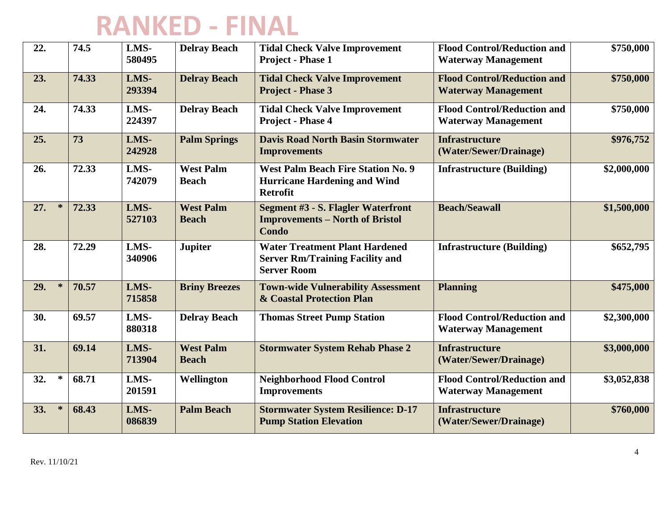| 22.           | 74.5  | LMS-<br>580495 | <b>Delray Beach</b>              | <b>Tidal Check Valve Improvement</b><br><b>Project - Phase 1</b>                                      | <b>Flood Control/Reduction and</b><br><b>Waterway Management</b> | \$750,000   |
|---------------|-------|----------------|----------------------------------|-------------------------------------------------------------------------------------------------------|------------------------------------------------------------------|-------------|
| 23.           | 74.33 | LMS-<br>293394 | <b>Delray Beach</b>              | <b>Tidal Check Valve Improvement</b><br><b>Project - Phase 3</b>                                      | <b>Flood Control/Reduction and</b><br><b>Waterway Management</b> | \$750,000   |
| 24.           | 74.33 | LMS-<br>224397 | <b>Delray Beach</b>              | <b>Tidal Check Valve Improvement</b><br>Project - Phase 4                                             | <b>Flood Control/Reduction and</b><br><b>Waterway Management</b> | \$750,000   |
| 25.           | 73    | LMS-<br>242928 | <b>Palm Springs</b>              | <b>Davis Road North Basin Stormwater</b><br><b>Improvements</b>                                       | <b>Infrastructure</b><br>(Water/Sewer/Drainage)                  | \$976,752   |
| 26.           | 72.33 | LMS-<br>742079 | <b>West Palm</b><br><b>Beach</b> | <b>West Palm Beach Fire Station No. 9</b><br><b>Hurricane Hardening and Wind</b><br><b>Retrofit</b>   | <b>Infrastructure (Building)</b>                                 | \$2,000,000 |
| $\ast$<br>27. | 72.33 | LMS-<br>527103 | <b>West Palm</b><br><b>Beach</b> | <b>Segment #3 - S. Flagler Waterfront</b><br><b>Improvements - North of Bristol</b><br><b>Condo</b>   | <b>Beach/Seawall</b>                                             | \$1,500,000 |
| 28.           | 72.29 | LMS-<br>340906 | <b>Jupiter</b>                   | <b>Water Treatment Plant Hardened</b><br><b>Server Rm/Training Facility and</b><br><b>Server Room</b> | <b>Infrastructure (Building)</b>                                 | \$652,795   |
| $\ast$<br>29. | 70.57 | LMS-<br>715858 | <b>Briny Breezes</b>             | <b>Town-wide Vulnerability Assessment</b><br>& Coastal Protection Plan                                | <b>Planning</b>                                                  | \$475,000   |
| 30.           | 69.57 | LMS-<br>880318 | <b>Delray Beach</b>              | <b>Thomas Street Pump Station</b>                                                                     | <b>Flood Control/Reduction and</b><br><b>Waterway Management</b> | \$2,300,000 |
| 31.           | 69.14 | LMS-<br>713904 | <b>West Palm</b><br><b>Beach</b> | <b>Stormwater System Rehab Phase 2</b>                                                                | <b>Infrastructure</b><br>(Water/Sewer/Drainage)                  | \$3,000,000 |
| 32.<br>$\ast$ | 68.71 | LMS-<br>201591 | Wellington                       | <b>Neighborhood Flood Control</b><br><b>Improvements</b>                                              | <b>Flood Control/Reduction and</b><br><b>Waterway Management</b> | \$3,052,838 |
| $\ast$<br>33. | 68.43 | LMS-<br>086839 | <b>Palm Beach</b>                | <b>Stormwater System Resilience: D-17</b><br><b>Pump Station Elevation</b>                            | <b>Infrastructure</b><br>(Water/Sewer/Drainage)                  | \$760,000   |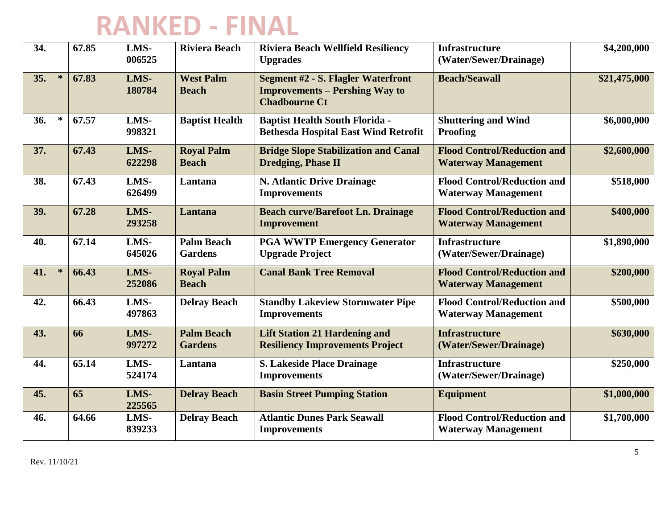| 34.           | 67.85 | LMS-<br>006525 | <b>Riviera Beach</b>                | <b>Riviera Beach Wellfield Resiliency</b><br><b>Upgrades</b>                                               | <b>Infrastructure</b><br>(Water/Sewer/Drainage)                  | \$4,200,000  |
|---------------|-------|----------------|-------------------------------------|------------------------------------------------------------------------------------------------------------|------------------------------------------------------------------|--------------|
| 35.<br>$\ast$ | 67.83 | LMS-<br>180784 | <b>West Palm</b><br><b>Beach</b>    | <b>Segment #2 - S. Flagler Waterfront</b><br><b>Improvements – Pershing Way to</b><br><b>Chadbourne Ct</b> | <b>Beach/Seawall</b>                                             | \$21,475,000 |
| 36.<br>$\ast$ | 67.57 | LMS-<br>998321 | <b>Baptist Health</b>               | <b>Baptist Health South Florida -</b><br><b>Bethesda Hospital East Wind Retrofit</b>                       | <b>Shuttering and Wind</b><br><b>Proofing</b>                    | \$6,000,000  |
| 37.           | 67.43 | LMS-<br>622298 | <b>Royal Palm</b><br><b>Beach</b>   | <b>Bridge Slope Stabilization and Canal</b><br><b>Dredging, Phase II</b>                                   | <b>Flood Control/Reduction and</b><br><b>Waterway Management</b> | \$2,600,000  |
| 38.           | 67.43 | LMS-<br>626499 | Lantana                             | <b>N. Atlantic Drive Drainage</b><br><b>Improvements</b>                                                   | <b>Flood Control/Reduction and</b><br><b>Waterway Management</b> | \$518,000    |
| 39.           | 67.28 | LMS-<br>293258 | Lantana                             | <b>Beach curve/Barefoot Ln. Drainage</b><br><b>Improvement</b>                                             | <b>Flood Control/Reduction and</b><br><b>Waterway Management</b> | \$400,000    |
| 40.           | 67.14 | LMS-<br>645026 | <b>Palm Beach</b><br><b>Gardens</b> | <b>PGA WWTP Emergency Generator</b><br><b>Upgrade Project</b>                                              | <b>Infrastructure</b><br>(Water/Sewer/Drainage)                  | \$1,890,000  |
| $\ast$<br>41. | 66.43 | LMS-<br>252086 | <b>Royal Palm</b><br><b>Beach</b>   | <b>Canal Bank Tree Removal</b>                                                                             | <b>Flood Control/Reduction and</b><br><b>Waterway Management</b> | \$200,000    |
| 42.           | 66.43 | LMS-<br>497863 | <b>Delray Beach</b>                 | <b>Standby Lakeview Stormwater Pipe</b><br><b>Improvements</b>                                             | <b>Flood Control/Reduction and</b><br><b>Waterway Management</b> | \$500,000    |
| 43.           | 66    | LMS-<br>997272 | <b>Palm Beach</b><br><b>Gardens</b> | <b>Lift Station 21 Hardening and</b><br><b>Resiliency Improvements Project</b>                             | <b>Infrastructure</b><br>(Water/Sewer/Drainage)                  | \$630,000    |
| 44.           | 65.14 | LMS-<br>524174 | Lantana                             | <b>S. Lakeside Place Drainage</b><br><b>Improvements</b>                                                   | <b>Infrastructure</b><br>(Water/Sewer/Drainage)                  | \$250,000    |
| 45.           | 65    | LMS-<br>225565 | <b>Delray Beach</b>                 | <b>Basin Street Pumping Station</b>                                                                        | <b>Equipment</b>                                                 | \$1,000,000  |
| 46.           | 64.66 | LMS-<br>839233 | <b>Delray Beach</b>                 | <b>Atlantic Dunes Park Seawall</b><br><b>Improvements</b>                                                  | <b>Flood Control/Reduction and</b><br><b>Waterway Management</b> | \$1,700,000  |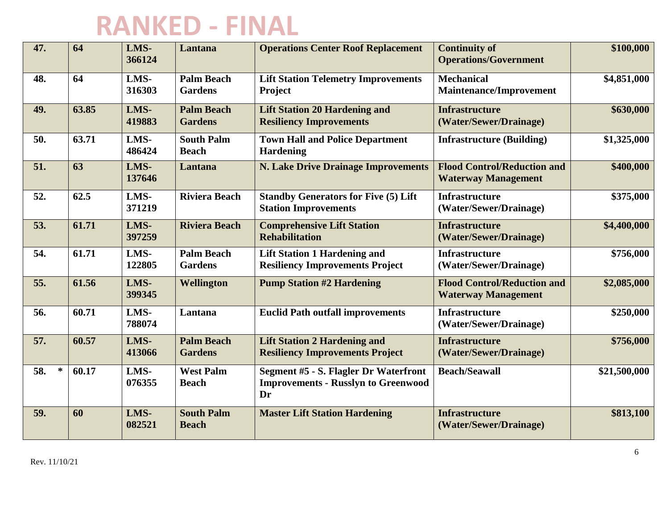| 47.           | 64    | LMS-<br>366124 | Lantana                             | <b>Operations Center Roof Replacement</b>                                                 | <b>Continuity of</b><br><b>Operations/Government</b>             | \$100,000    |
|---------------|-------|----------------|-------------------------------------|-------------------------------------------------------------------------------------------|------------------------------------------------------------------|--------------|
| 48.           | 64    | LMS-<br>316303 | <b>Palm Beach</b><br><b>Gardens</b> | <b>Lift Station Telemetry Improvements</b><br>Project                                     | <b>Mechanical</b><br><b>Maintenance/Improvement</b>              | \$4,851,000  |
| 49.           | 63.85 | LMS-<br>419883 | <b>Palm Beach</b><br><b>Gardens</b> | <b>Lift Station 20 Hardening and</b><br><b>Resiliency Improvements</b>                    | <b>Infrastructure</b><br>(Water/Sewer/Drainage)                  | \$630,000    |
| 50.           | 63.71 | LMS-<br>486424 | <b>South Palm</b><br><b>Beach</b>   | <b>Town Hall and Police Department</b><br><b>Hardening</b>                                | <b>Infrastructure (Building)</b>                                 | \$1,325,000  |
| 51.           | 63    | LMS-<br>137646 | Lantana                             | <b>N. Lake Drive Drainage Improvements</b>                                                | <b>Flood Control/Reduction and</b><br><b>Waterway Management</b> | \$400,000    |
| 52.           | 62.5  | LMS-<br>371219 | <b>Riviera Beach</b>                | <b>Standby Generators for Five (5) Lift</b><br><b>Station Improvements</b>                | <b>Infrastructure</b><br>(Water/Sewer/Drainage)                  | \$375,000    |
| 53.           | 61.71 | LMS-<br>397259 | <b>Riviera Beach</b>                | <b>Comprehensive Lift Station</b><br><b>Rehabilitation</b>                                | <b>Infrastructure</b><br>(Water/Sewer/Drainage)                  | \$4,400,000  |
| 54.           | 61.71 | LMS-<br>122805 | <b>Palm Beach</b><br><b>Gardens</b> | <b>Lift Station 1 Hardening and</b><br><b>Resiliency Improvements Project</b>             | <b>Infrastructure</b><br>(Water/Sewer/Drainage)                  | \$756,000    |
| 55.           | 61.56 | LMS-<br>399345 | Wellington                          | <b>Pump Station #2 Hardening</b>                                                          | <b>Flood Control/Reduction and</b><br><b>Waterway Management</b> | \$2,085,000  |
| 56.           | 60.71 | LMS-<br>788074 | Lantana                             | <b>Euclid Path outfall improvements</b>                                                   | <b>Infrastructure</b><br>(Water/Sewer/Drainage)                  | \$250,000    |
| 57.           | 60.57 | LMS-<br>413066 | <b>Palm Beach</b><br><b>Gardens</b> | <b>Lift Station 2 Hardening and</b><br><b>Resiliency Improvements Project</b>             | <b>Infrastructure</b><br>(Water/Sewer/Drainage)                  | \$756,000    |
| $\ast$<br>58. | 60.17 | LMS-<br>076355 | <b>West Palm</b><br><b>Beach</b>    | Segment #5 - S. Flagler Dr Waterfront<br><b>Improvements - Russlyn to Greenwood</b><br>Dr | <b>Beach/Seawall</b>                                             | \$21,500,000 |
| 59.           | 60    | LMS-<br>082521 | <b>South Palm</b><br><b>Beach</b>   | <b>Master Lift Station Hardening</b>                                                      | <b>Infrastructure</b><br>(Water/Sewer/Drainage)                  | \$813,100    |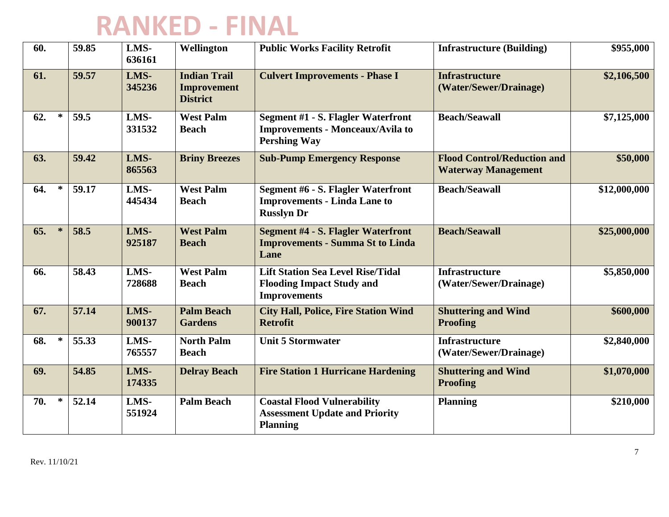| 60.           | 59.85 | LMS-<br>636161 | Wellington                                                   | <b>Public Works Facility Retrofit</b>                                                                       | <b>Infrastructure (Building)</b>                                 | \$955,000    |
|---------------|-------|----------------|--------------------------------------------------------------|-------------------------------------------------------------------------------------------------------------|------------------------------------------------------------------|--------------|
| 61.           | 59.57 | LMS-<br>345236 | <b>Indian Trail</b><br><b>Improvement</b><br><b>District</b> | <b>Culvert Improvements - Phase I</b>                                                                       | <b>Infrastructure</b><br>(Water/Sewer/Drainage)                  | \$2,106,500  |
| $\ast$<br>62. | 59.5  | LMS-<br>331532 | <b>West Palm</b><br><b>Beach</b>                             | <b>Segment #1 - S. Flagler Waterfront</b><br><b>Improvements - Monceaux/Avila to</b><br><b>Pershing Way</b> | <b>Beach/Seawall</b>                                             | \$7,125,000  |
| 63.           | 59.42 | LMS-<br>865563 | <b>Briny Breezes</b>                                         | <b>Sub-Pump Emergency Response</b>                                                                          | <b>Flood Control/Reduction and</b><br><b>Waterway Management</b> | \$50,000     |
| 64.<br>∗      | 59.17 | LMS-<br>445434 | <b>West Palm</b><br><b>Beach</b>                             | <b>Segment #6 - S. Flagler Waterfront</b><br><b>Improvements - Linda Lane to</b><br><b>Russlyn Dr</b>       | <b>Beach/Seawall</b>                                             | \$12,000,000 |
| 65.<br>$\ast$ | 58.5  | LMS-<br>925187 | <b>West Palm</b><br><b>Beach</b>                             | <b>Segment #4 - S. Flagler Waterfront</b><br><b>Improvements - Summa St to Linda</b><br>Lane                | <b>Beach/Seawall</b>                                             | \$25,000,000 |
| 66.           | 58.43 | LMS-<br>728688 | <b>West Palm</b><br><b>Beach</b>                             | <b>Lift Station Sea Level Rise/Tidal</b><br><b>Flooding Impact Study and</b><br><b>Improvements</b>         | <b>Infrastructure</b><br>(Water/Sewer/Drainage)                  | \$5,850,000  |
| 67.           | 57.14 | LMS-<br>900137 | <b>Palm Beach</b><br><b>Gardens</b>                          | <b>City Hall, Police, Fire Station Wind</b><br><b>Retrofit</b>                                              | <b>Shuttering and Wind</b><br><b>Proofing</b>                    | \$600,000    |
| 68.<br>∗      | 55.33 | LMS-<br>765557 | <b>North Palm</b><br><b>Beach</b>                            | <b>Unit 5 Stormwater</b>                                                                                    | <b>Infrastructure</b><br>(Water/Sewer/Drainage)                  | \$2,840,000  |
| 69.           | 54.85 | LMS-<br>174335 | <b>Delray Beach</b>                                          | <b>Fire Station 1 Hurricane Hardening</b>                                                                   | <b>Shuttering and Wind</b><br><b>Proofing</b>                    | \$1,070,000  |
| ∗<br>70.      | 52.14 | LMS-<br>551924 | <b>Palm Beach</b>                                            | <b>Coastal Flood Vulnerability</b><br><b>Assessment Update and Priority</b><br><b>Planning</b>              | <b>Planning</b>                                                  | \$210,000    |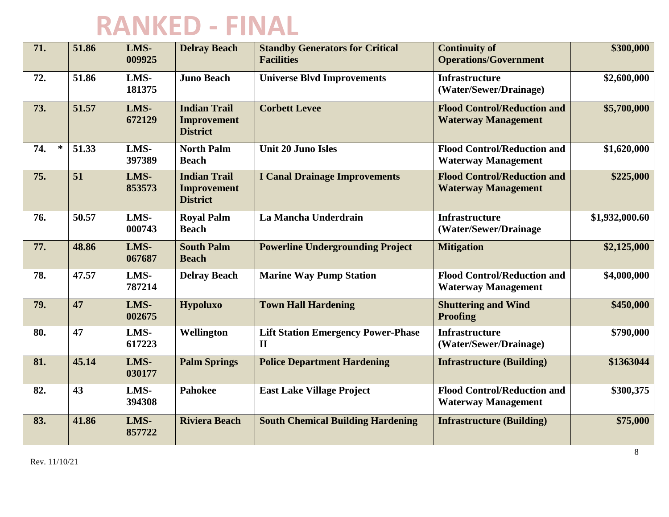| 71.           | 51.86 | LMS-<br>009925 | <b>Delray Beach</b>                                          | <b>Standby Generators for Critical</b><br><b>Facilities</b> | <b>Continuity of</b><br><b>Operations/Government</b>             | \$300,000      |
|---------------|-------|----------------|--------------------------------------------------------------|-------------------------------------------------------------|------------------------------------------------------------------|----------------|
| 72.           | 51.86 | LMS-<br>181375 | <b>Juno Beach</b>                                            | <b>Universe Blvd Improvements</b>                           | <b>Infrastructure</b><br>(Water/Sewer/Drainage)                  | \$2,600,000    |
| 73.           | 51.57 | LMS-<br>672129 | <b>Indian Trail</b><br><b>Improvement</b><br><b>District</b> | <b>Corbett Levee</b>                                        | <b>Flood Control/Reduction and</b><br><b>Waterway Management</b> | \$5,700,000    |
| $\ast$<br>74. | 51.33 | LMS-<br>397389 | <b>North Palm</b><br><b>Beach</b>                            | <b>Unit 20 Juno Isles</b>                                   | <b>Flood Control/Reduction and</b><br><b>Waterway Management</b> | \$1,620,000    |
| 75.           | 51    | LMS-<br>853573 | <b>Indian Trail</b><br><b>Improvement</b><br><b>District</b> | <b>I Canal Drainage Improvements</b>                        | <b>Flood Control/Reduction and</b><br><b>Waterway Management</b> | \$225,000      |
| 76.           | 50.57 | LMS-<br>000743 | <b>Royal Palm</b><br><b>Beach</b>                            | La Mancha Underdrain                                        | <b>Infrastructure</b><br>(Water/Sewer/Drainage                   | \$1,932,000.60 |
| 77.           | 48.86 | LMS-<br>067687 | <b>South Palm</b><br><b>Beach</b>                            | <b>Powerline Undergrounding Project</b>                     | <b>Mitigation</b>                                                | \$2,125,000    |
| 78.           | 47.57 | LMS-<br>787214 | <b>Delray Beach</b>                                          | <b>Marine Way Pump Station</b>                              | <b>Flood Control/Reduction and</b><br><b>Waterway Management</b> | \$4,000,000    |
| 79.           | 47    | LMS-<br>002675 | <b>Hypoluxo</b>                                              | <b>Town Hall Hardening</b>                                  | <b>Shuttering and Wind</b><br><b>Proofing</b>                    | \$450,000      |
| 80.           | 47    | LMS-<br>617223 | Wellington                                                   | <b>Lift Station Emergency Power-Phase</b><br>$\mathbf{I}$   | <b>Infrastructure</b><br>(Water/Sewer/Drainage)                  | \$790,000      |
| 81.           | 45.14 | LMS-<br>030177 | <b>Palm Springs</b>                                          | <b>Police Department Hardening</b>                          | <b>Infrastructure (Building)</b>                                 | \$1363044      |
| 82.           | 43    | LMS-<br>394308 | <b>Pahokee</b>                                               | <b>East Lake Village Project</b>                            | <b>Flood Control/Reduction and</b><br><b>Waterway Management</b> | \$300,375      |
| 83.           | 41.86 | LMS-<br>857722 | <b>Riviera Beach</b>                                         | <b>South Chemical Building Hardening</b>                    | <b>Infrastructure (Building)</b>                                 | \$75,000       |